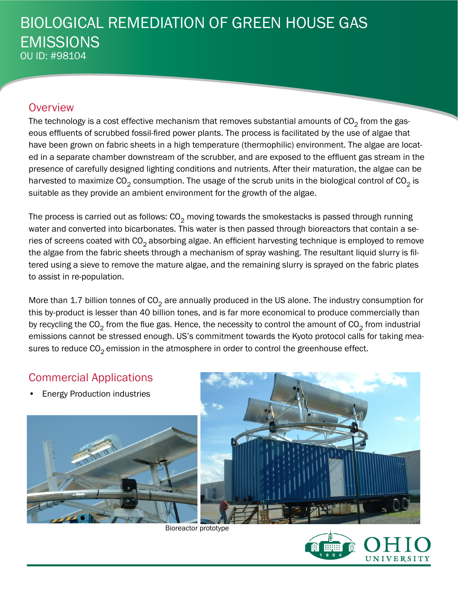# BIOLOGICAL REMEDIATION OF GREEN HOUSE GAS EMISSIONS OU ID: #98104

## **Overview**

The technology is a cost effective mechanism that removes substantial amounts of  $CO<sub>2</sub>$  from the gaseous effluents of scrubbed fossil-fired power plants. The process is facilitated by the use of algae that have been grown on fabric sheets in a high temperature (thermophilic) environment. The algae are located in a separate chamber downstream of the scrubber, and are exposed to the effluent gas stream in the presence of carefully designed lighting conditions and nutrients. After their maturation, the algae can be harvested to maximize  $CO<sub>2</sub>$  consumption. The usage of the scrub units in the biological control of  $CO<sub>2</sub>$  is suitable as they provide an ambient environment for the growth of the algae.

The process is carried out as follows:  $CO<sub>2</sub>$  moving towards the smokestacks is passed through running water and converted into bicarbonates. This water is then passed through bioreactors that contain a series of screens coated with  $CO<sub>2</sub>$  absorbing algae. An efficient harvesting technique is employed to remove the algae from the fabric sheets through a mechanism of spray washing. The resultant liquid slurry is filtered using a sieve to remove the mature algae, and the remaining slurry is sprayed on the fabric plates to assist in re-population.

More than 1.7 billion tonnes of  $CO<sub>2</sub>$  are annually produced in the US alone. The industry consumption for this by-product is lesser than 40 billion tones, and is far more economical to produce commercially than by recycling the CO<sub>2</sub> from the flue gas. Hence, the necessity to control the amount of CO<sub>2</sub> from industrial emissions cannot be stressed enough. US's commitment towards the Kyoto protocol calls for taking measures to reduce  $CO<sub>2</sub>$  emission in the atmosphere in order to control the greenhouse effect.

# Commercial Applications

**Energy Production industries** 





Bioreactor prototype